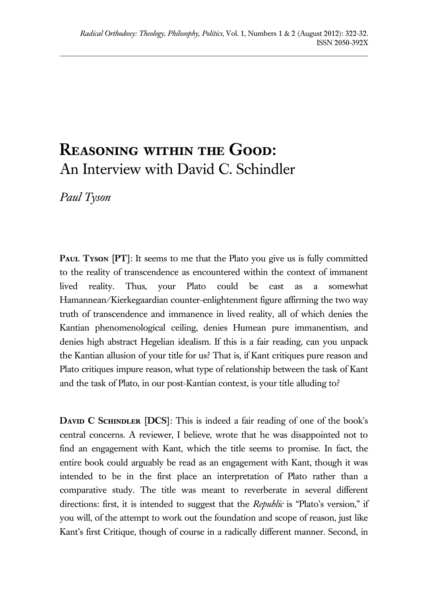## **Reasoning within the Good:**  An Interview with David C. Schindler

*Paul Tyson*

**PAUL TYSON [PT]:** It seems to me that the Plato you give us is fully committed to the reality of transcendence as encountered within the context of immanent lived reality. Thus, your Plato could be cast as a somewhat Hamannean/Kierkegaardian counter-enlightenment figure affirming the two way truth of transcendence and immanence in lived reality, all of which denies the Kantian phenomenological ceiling, denies Humean pure immanentism, and denies high abstract Hegelian idealism. If this is a fair reading, can you unpack the Kantian allusion of your title for us? That is, if Kant critiques pure reason and Plato critiques impure reason, what type of relationship between the task of Kant and the task of Plato, in our post-Kantian context, is your title alluding to?

**DAVID C SCHINDLER** [DCS]: This is indeed a fair reading of one of the book's central concerns. A reviewer, I believe, wrote that he was disappointed not to find an engagement with Kant, which the title seems to promise. In fact, the entire book could arguably be read as an engagement with Kant, though it was intended to be in the first place an interpretation of Plato rather than a comparative study. The title was meant to reverberate in several different directions: first, it is intended to suggest that the *Republic* is "Plato's version," if you will, of the attempt to work out the foundation and scope of reason, just like Kant's first Critique, though of course in a radically different manner. Second, in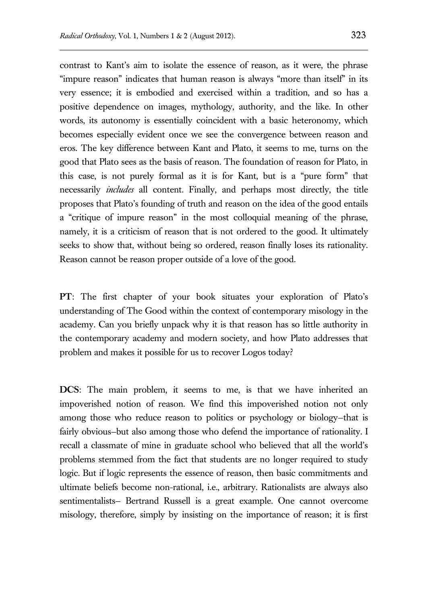contrast to Kant's aim to isolate the essence of reason, as it were, the phrase "impure reason" indicates that human reason is always "more than itself" in its very essence; it is embodied and exercised within a tradition, and so has a positive dependence on images, mythology, authority, and the like. In other words, its autonomy is essentially coincident with a basic heteronomy, which becomes especially evident once we see the convergence between reason and eros. The key difference between Kant and Plato, it seems to me, turns on the good that Plato sees as the basis of reason. The foundation of reason for Plato, in this case, is not purely formal as it is for Kant, but is a "pure form" that necessarily *includes* all content. Finally, and perhaps most directly, the title proposes that Plato's founding of truth and reason on the idea of the good entails a "critique of impure reason" in the most colloquial meaning of the phrase, namely, it is a criticism of reason that is not ordered to the good. It ultimately seeks to show that, without being so ordered, reason finally loses its rationality. Reason cannot be reason proper outside of a love of the good.

**PT**: The first chapter of your book situates your exploration of Plato's understanding of The Good within the context of contemporary misology in the academy. Can you briefly unpack why it is that reason has so little authority in the contemporary academy and modern society, and how Plato addresses that problem and makes it possible for us to recover Logos today?

**DCS**: The main problem, it seems to me, is that we have inherited an impoverished notion of reason. We find this impoverished notion not only among those who reduce reason to politics or psychology or biology—that is fairly obvious—but also among those who defend the importance of rationality. I recall a classmate of mine in graduate school who believed that all the world's problems stemmed from the fact that students are no longer required to study logic. But if logic represents the essence of reason, then basic commitments and ultimate beliefs become non-rational, i.e., arbitrary. Rationalists are always also sentimentalists— Bertrand Russell is a great example. One cannot overcome misology, therefore, simply by insisting on the importance of reason; it is first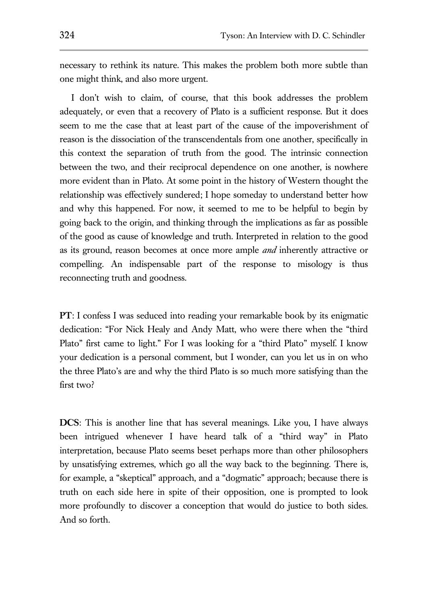necessary to rethink its nature. This makes the problem both more subtle than one might think, and also more urgent.

I don't wish to claim, of course, that this book addresses the problem adequately, or even that a recovery of Plato is a sufficient response. But it does seem to me the case that at least part of the cause of the impoverishment of reason is the dissociation of the transcendentals from one another, specifically in this context the separation of truth from the good. The intrinsic connection between the two, and their reciprocal dependence on one another, is nowhere more evident than in Plato. At some point in the history of Western thought the relationship was effectively sundered; I hope someday to understand better how and why this happened. For now, it seemed to me to be helpful to begin by going back to the origin, and thinking through the implications as far as possible of the good as cause of knowledge and truth. Interpreted in relation to the good as its ground, reason becomes at once more ample *and* inherently attractive or compelling. An indispensable part of the response to misology is thus reconnecting truth and goodness.

**PT**: I confess I was seduced into reading your remarkable book by its enigmatic dedication: "For Nick Healy and Andy Matt, who were there when the "third Plato" first came to light." For I was looking for a "third Plato" myself. I know your dedication is a personal comment, but I wonder, can you let us in on who the three Plato's are and why the third Plato is so much more satisfying than the first two?

**DCS**: This is another line that has several meanings. Like you, I have always been intrigued whenever I have heard talk of a "third way" in Plato interpretation, because Plato seems beset perhaps more than other philosophers by unsatisfying extremes, which go all the way back to the beginning. There is, for example, a "skeptical" approach, and a "dogmatic" approach; because there is truth on each side here in spite of their opposition, one is prompted to look more profoundly to discover a conception that would do justice to both sides. And so forth.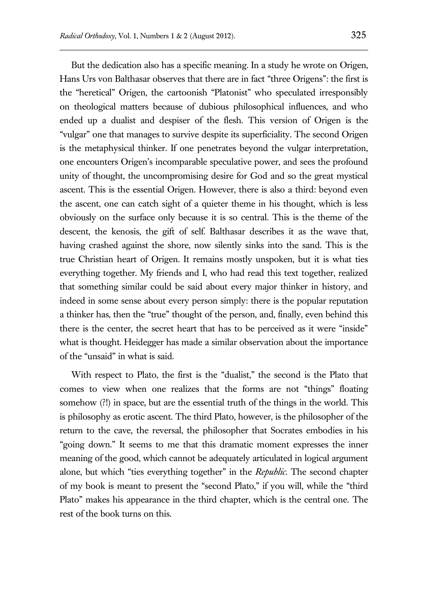But the dedication also has a specific meaning. In a study he wrote on Origen, Hans Urs von Balthasar observes that there are in fact "three Origens": the first is the "heretical" Origen, the cartoonish "Platonist" who speculated irresponsibly on theological matters because of dubious philosophical influences, and who ended up a dualist and despiser of the flesh. This version of Origen is the "vulgar" one that manages to survive despite its superficiality. The second Origen is the metaphysical thinker. If one penetrates beyond the vulgar interpretation, one encounters Origen's incomparable speculative power, and sees the profound unity of thought, the uncompromising desire for God and so the great mystical ascent. This is the essential Origen. However, there is also a third: beyond even the ascent, one can catch sight of a quieter theme in his thought, which is less obviously on the surface only because it is so central. This is the theme of the descent, the kenosis, the gift of self. Balthasar describes it as the wave that, having crashed against the shore, now silently sinks into the sand. This is the true Christian heart of Origen. It remains mostly unspoken, but it is what ties everything together. My friends and I, who had read this text together, realized that something similar could be said about every major thinker in history, and indeed in some sense about every person simply: there is the popular reputation a thinker has, then the "true" thought of the person, and, finally, even behind this there is the center, the secret heart that has to be perceived as it were "inside" what is thought. Heidegger has made a similar observation about the importance of the "unsaid" in what is said.

With respect to Plato, the first is the "dualist," the second is the Plato that comes to view when one realizes that the forms are not "things" floating somehow (?!) in space, but are the essential truth of the things in the world. This is philosophy as erotic ascent. The third Plato, however, is the philosopher of the return to the cave, the reversal, the philosopher that Socrates embodies in his "going down." It seems to me that this dramatic moment expresses the inner meaning of the good, which cannot be adequately articulated in logical argument alone, but which "ties everything together" in the *Republic*. The second chapter of my book is meant to present the "second Plato," if you will, while the "third Plato" makes his appearance in the third chapter, which is the central one. The rest of the book turns on this.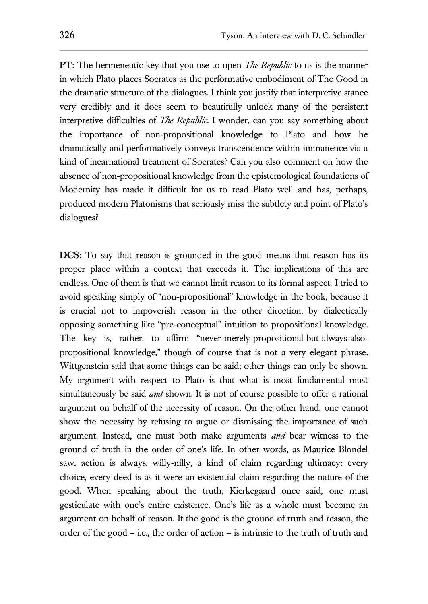**PT**: The hermeneutic key that you use to open *The Republic* to us is the manner in which Plato places Socrates as the performative embodiment of The Good in the dramatic structure of the dialogues. I think you justify that interpretive stance very credibly and it does seem to beautifully unlock many of the persistent interpretive difficulties of *The Republic*. I wonder, can you say something about the importance of non-propositional knowledge to Plato and how he dramatically and performatively conveys transcendence within immanence via a kind of incarnational treatment of Socrates? Can you also comment on how the absence of non-propositional knowledge from the epistemological foundations of Modernity has made it difficult for us to read Plato well and has, perhaps, produced modern Platonisms that seriously miss the subtlety and point of Plato's dialogues?

**DCS**: To say that reason is grounded in the good means that reason has its proper place within a context that exceeds it. The implications of this are endless. One of them is that we cannot limit reason to its formal aspect. I tried to avoid speaking simply of "non-propositional" knowledge in the book, because it is crucial not to impoverish reason in the other direction, by dialectically opposing something like "pre-conceptual" intuition to propositional knowledge. The key is, rather, to affirm "never-merely-propositional-but-always-alsopropositional knowledge," though of course that is not a very elegant phrase. Wittgenstein said that some things can be said; other things can only be shown. My argument with respect to Plato is that what is most fundamental must simultaneously be said *and* shown. It is not of course possible to offer a rational argument on behalf of the necessity of reason. On the other hand, one cannot show the necessity by refusing to argue or dismissing the importance of such argument. Instead, one must both make arguments *and* bear witness to the ground of truth in the order of one's life. In other words, as Maurice Blondel saw, action is always, willy-nilly, a kind of claim regarding ultimacy: every choice, every deed is as it were an existential claim regarding the nature of the good. When speaking about the truth, Kierkegaard once said, one must gesticulate with one's entire existence. One's life as a whole must become an argument on behalf of reason. If the good is the ground of truth and reason, the order of the good – i.e., the order of action – is intrinsic to the truth of truth and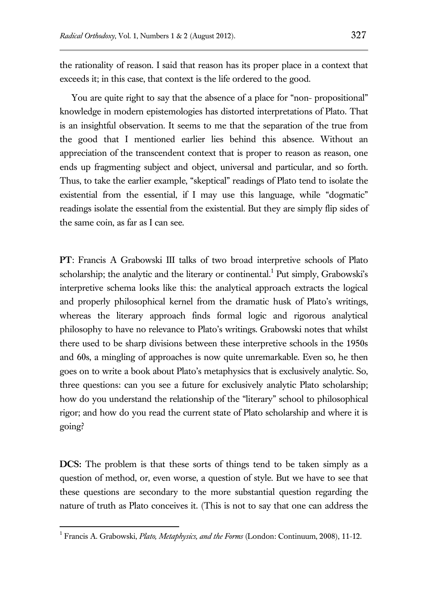the rationality of reason. I said that reason has its proper place in a context that exceeds it; in this case, that context is the life ordered to the good.

You are quite right to say that the absence of a place for "non- propositional" knowledge in modern epistemologies has distorted interpretations of Plato. That is an insightful observation. It seems to me that the separation of the true from the good that I mentioned earlier lies behind this absence. Without an appreciation of the transcendent context that is proper to reason as reason, one ends up fragmenting subject and object, universal and particular, and so forth. Thus, to take the earlier example, "skeptical" readings of Plato tend to isolate the existential from the essential, if I may use this language, while "dogmatic" readings isolate the essential from the existential. But they are simply flip sides of the same coin, as far as I can see.

**PT**: Francis A Grabowski III talks of two broad interpretive schools of Plato scholarship; the analytic and the literary or continental.<sup>1</sup> Put simply, Grabowski's interpretive schema looks like this: the analytical approach extracts the logical and properly philosophical kernel from the dramatic husk of Plato's writings, whereas the literary approach finds formal logic and rigorous analytical philosophy to have no relevance to Plato's writings. Grabowski notes that whilst there used to be sharp divisions between these interpretive schools in the 1950s and 60s, a mingling of approaches is now quite unremarkable. Even so, he then goes on to write a book about Plato's metaphysics that is exclusively analytic. So, three questions: can you see a future for exclusively analytic Plato scholarship; how do you understand the relationship of the "literary" school to philosophical rigor; and how do you read the current state of Plato scholarship and where it is going?

**DCS:** The problem is that these sorts of things tend to be taken simply as a question of method, or, even worse, a question of style. But we have to see that these questions are secondary to the more substantial question regarding the nature of truth as Plato conceives it. (This is not to say that one can address the

 1 Francis A. Grabowski, *Plato, Metaphysics, and the Forms* (London: Continuum, 2008), 11-12.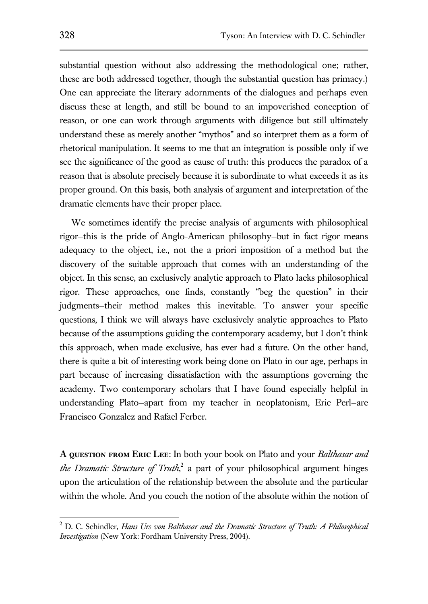substantial question without also addressing the methodological one; rather, these are both addressed together, though the substantial question has primacy.) One can appreciate the literary adornments of the dialogues and perhaps even discuss these at length, and still be bound to an impoverished conception of reason, or one can work through arguments with diligence but still ultimately understand these as merely another "mythos" and so interpret them as a form of rhetorical manipulation. It seems to me that an integration is possible only if we see the significance of the good as cause of truth: this produces the paradox of a reason that is absolute precisely because it is subordinate to what exceeds it as its proper ground. On this basis, both analysis of argument and interpretation of the dramatic elements have their proper place.

We sometimes identify the precise analysis of arguments with philosophical rigor—this is the pride of Anglo-American philosophy—but in fact rigor means adequacy to the object, i.e., not the a priori imposition of a method but the discovery of the suitable approach that comes with an understanding of the object. In this sense, an exclusively analytic approach to Plato lacks philosophical rigor. These approaches, one finds, constantly "beg the question" in their judgments—their method makes this inevitable. To answer your specific questions, I think we will always have exclusively analytic approaches to Plato because of the assumptions guiding the contemporary academy, but I don't think this approach, when made exclusive, has ever had a future. On the other hand, there is quite a bit of interesting work being done on Plato in our age, perhaps in part because of increasing dissatisfaction with the assumptions governing the academy. Two contemporary scholars that I have found especially helpful in understanding Plato—apart from my teacher in neoplatonism, Eric Perl—are Francisco Gonzalez and Rafael Ferber.

**A question from Eric Lee**: In both your book on Plato and your *Balthasar and the Dramatic Structure of Truth*, 2 a part of your philosophical argument hinges upon the articulation of the relationship between the absolute and the particular within the whole. And you couch the notion of the absolute within the notion of

 $\overline{a}$ 

<sup>2</sup> D. C. Schindler, *Hans Urs von Balthasar and the Dramatic Structure of Truth: A Philosophical Investigation* (New York: Fordham University Press, 2004).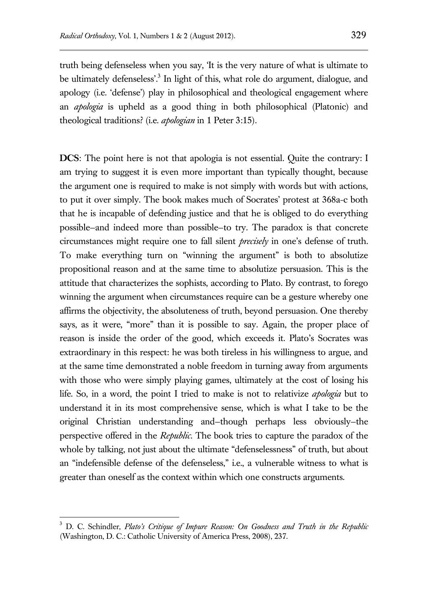truth being defenseless when you say, 'It is the very nature of what is ultimate to be ultimately defenseless'. 3 In light of this, what role do argument, dialogue, and apology (i.e. 'defense') play in philosophical and theological engagement where an *apologia* is upheld as a good thing in both philosophical (Platonic) and theological traditions? (i.e. *apologian* in 1 Peter 3:15).

**DCS**: The point here is not that apologia is not essential. Quite the contrary: I am trying to suggest it is even more important than typically thought, because the argument one is required to make is not simply with words but with actions, to put it over simply. The book makes much of Socrates' protest at 368a-c both that he is incapable of defending justice and that he is obliged to do everything possible—and indeed more than possible—to try. The paradox is that concrete circumstances might require one to fall silent *precisely* in one's defense of truth. To make everything turn on "winning the argument" is both to absolutize propositional reason and at the same time to absolutize persuasion. This is the attitude that characterizes the sophists, according to Plato. By contrast, to forego winning the argument when circumstances require can be a gesture whereby one affirms the objectivity, the absoluteness of truth, beyond persuasion. One thereby says, as it were, "more" than it is possible to say. Again, the proper place of reason is inside the order of the good, which exceeds it. Plato's Socrates was extraordinary in this respect: he was both tireless in his willingness to argue, and at the same time demonstrated a noble freedom in turning away from arguments with those who were simply playing games, ultimately at the cost of losing his life. So, in a word, the point I tried to make is not to relativize *apologia* but to understand it in its most comprehensive sense, which is what I take to be the original Christian understanding and—though perhaps less obviously—the perspective offered in the *Republic*. The book tries to capture the paradox of the whole by talking, not just about the ultimate "defenselessness" of truth, but about an "indefensible defense of the defenseless," i.e., a vulnerable witness to what is greater than oneself as the context within which one constructs arguments.

 $\overline{a}$ 

<sup>3</sup> D. C. Schindler, *Plato's Critique of Impure Reason: On Goodness and Truth in the Republic* (Washington, D. C.: Catholic University of America Press, 2008), 237.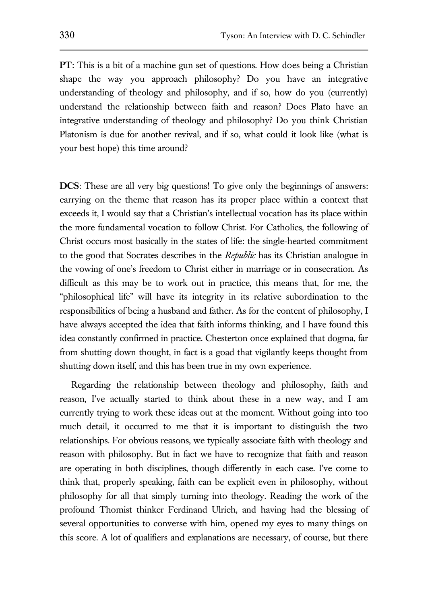**PT**: This is a bit of a machine gun set of questions. How does being a Christian shape the way you approach philosophy? Do you have an integrative understanding of theology and philosophy, and if so, how do you (currently) understand the relationship between faith and reason? Does Plato have an integrative understanding of theology and philosophy? Do you think Christian Platonism is due for another revival, and if so, what could it look like (what is your best hope) this time around?

**DCS**: These are all very big questions! To give only the beginnings of answers: carrying on the theme that reason has its proper place within a context that exceeds it, I would say that a Christian's intellectual vocation has its place within the more fundamental vocation to follow Christ. For Catholics, the following of Christ occurs most basically in the states of life: the single-hearted commitment to the good that Socrates describes in the *Republic* has its Christian analogue in the vowing of one's freedom to Christ either in marriage or in consecration. As difficult as this may be to work out in practice, this means that, for me, the "philosophical life" will have its integrity in its relative subordination to the responsibilities of being a husband and father. As for the content of philosophy, I have always accepted the idea that faith informs thinking, and I have found this idea constantly confirmed in practice. Chesterton once explained that dogma, far from shutting down thought, in fact is a goad that vigilantly keeps thought from shutting down itself, and this has been true in my own experience.

Regarding the relationship between theology and philosophy, faith and reason, I've actually started to think about these in a new way, and I am currently trying to work these ideas out at the moment. Without going into too much detail, it occurred to me that it is important to distinguish the two relationships. For obvious reasons, we typically associate faith with theology and reason with philosophy. But in fact we have to recognize that faith and reason are operating in both disciplines, though differently in each case. I've come to think that, properly speaking, faith can be explicit even in philosophy, without philosophy for all that simply turning into theology. Reading the work of the profound Thomist thinker Ferdinand Ulrich, and having had the blessing of several opportunities to converse with him, opened my eyes to many things on this score. A lot of qualifiers and explanations are necessary, of course, but there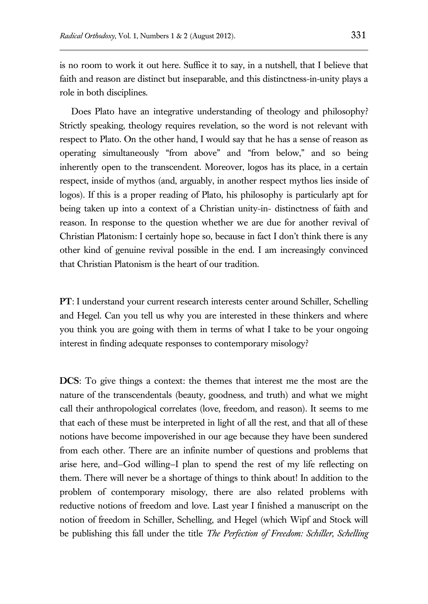is no room to work it out here. Suffice it to say, in a nutshell, that I believe that faith and reason are distinct but inseparable, and this distinctness-in-unity plays a role in both disciplines.

Does Plato have an integrative understanding of theology and philosophy? Strictly speaking, theology requires revelation, so the word is not relevant with respect to Plato. On the other hand, I would say that he has a sense of reason as operating simultaneously "from above" and "from below," and so being inherently open to the transcendent. Moreover, logos has its place, in a certain respect, inside of mythos (and, arguably, in another respect mythos lies inside of logos). If this is a proper reading of Plato, his philosophy is particularly apt for being taken up into a context of a Christian unity-in- distinctness of faith and reason. In response to the question whether we are due for another revival of Christian Platonism: I certainly hope so, because in fact I don't think there is any other kind of genuine revival possible in the end. I am increasingly convinced that Christian Platonism is the heart of our tradition.

**PT**: I understand your current research interests center around Schiller, Schelling and Hegel. Can you tell us why you are interested in these thinkers and where you think you are going with them in terms of what I take to be your ongoing interest in finding adequate responses to contemporary misology?

**DCS**: To give things a context: the themes that interest me the most are the nature of the transcendentals (beauty, goodness, and truth) and what we might call their anthropological correlates (love, freedom, and reason). It seems to me that each of these must be interpreted in light of all the rest, and that all of these notions have become impoverished in our age because they have been sundered from each other. There are an infinite number of questions and problems that arise here, and—God willing—I plan to spend the rest of my life reflecting on them. There will never be a shortage of things to think about! In addition to the problem of contemporary misology, there are also related problems with reductive notions of freedom and love. Last year I finished a manuscript on the notion of freedom in Schiller, Schelling, and Hegel (which Wipf and Stock will be publishing this fall under the title *The Perfection of Freedom: Schiller, Schelling*